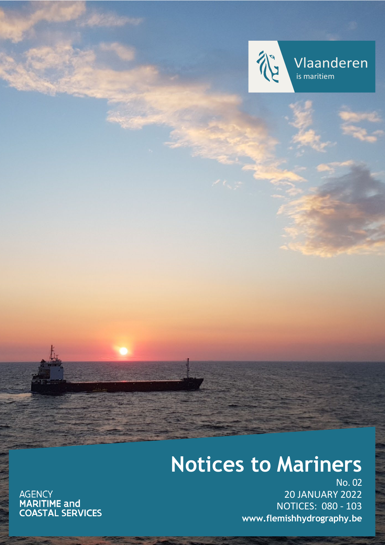

Vlaanderen is maritiem

# **Notices to Mariners**

AGENCY<br>**MARITIME and<br>COASTAL SERVICES** 

No. 02 20 JANUARY 2022 NOTICES: 080 - 103 **[www.flemishhydrography.be](http://www.flemishhydrography.be/)**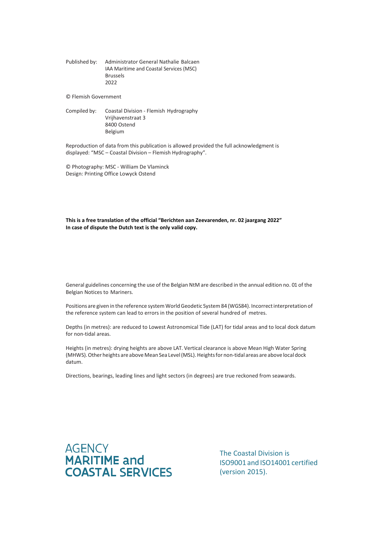Published by: Administrator General Nathalie Balcaen IAA Maritime and Coastal Services (MSC) Brussels 2022

© Flemish Government

Compiled by: Coastal Division - Flemish Hydrography Vrijhavenstraat 3 8400 Ostend Belgium

Reproduction of data from this publication is allowed provided the full acknowledgment is displayed: "MSC – Coastal Division – Flemish Hydrography".

© Photography: MSC - William De Vlaminck Design: Printing Office Lowyck Ostend

**This is a free translation of the official "Berichten aan Zeevarenden, nr. 02 jaargang 2022" In case of dispute the Dutch text is the only valid copy.**

General guidelines concerning the use of the Belgian NtM are described in the annual edition no. 01 of the Belgian Notices to Mariners.

Positions are given in the reference system World Geodetic System 84 (WGS84). Incorrect interpretation of the reference system can lead to errors in the position of several hundred of metres.

Depths (in metres): are reduced to Lowest Astronomical Tide (LAT) for tidal areas and to local dock datum for non-tidal areas.

Heights (in metres): drying heights are above LAT. Vertical clearance is above Mean High Water Spring (MHWS). Other heights are above Mean Sea Level (MSL). Heights for non-tidal areas are above local dock datum.

Directions, bearings, leading lines and light sectors (in degrees) are true reckoned from seawards.



The Coastal Division is ISO9001 and ISO14001 certified (version 2015).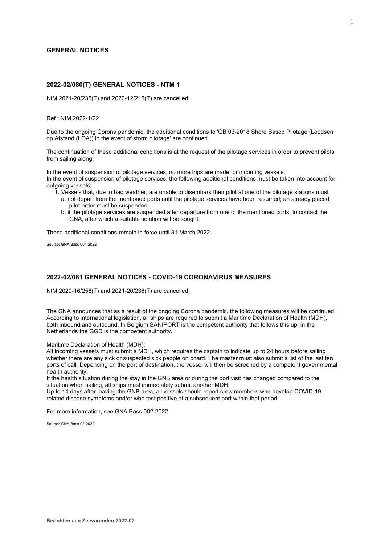## **GENERAL NOTICES**

## **2022-02/080(T) GENERAL NOTICES - NTM 1**

NtM 2021-20/235(T) and 2020-12/215(T) are cancelled.

Ref.: NtM 2022-1/22

Due to the ongoing Corona pandemic, the additional conditions to 'GB 03-2018 Shore Based Pilotage (Loodsen op Afstand (LOA)) in the event of storm pilotage' are continued.

The continuation of these additional conditions is at the request of the pilotage services in order to prevent pilots from sailing along.

In the event of suspension of pilotage services, no more trips are made for incoming vessels.

In the event of suspension of pilotage services, the following additional conditions must be taken into account for outgoing vessels:

- 1. Vessels that, due to bad weather, are unable to disembark their pilot at one of the pilotage stations must a. not depart from the mentioned ports until the pilotage services have been resumed; an already placed pilot order must be suspended.
	- b. if the pilotage services are suspended after departure from one of the mentioned ports, to contact the GNA, after which a suitable solution will be sought.

These additional conditions remain in force until 31 March 2022.

Source: GNA Bass 001-2022

## **2022-02/081 GENERAL NOTICES - COVID-19 CORONAVIRUS MEASURES**

NtM 2020-16/256(T) and 2021-20/236(T) are cancelled.

The GNA announces that as a result of the ongoing Corona pandemic, the following measures will be continued. According to international legislation, all ships are required to submit a Maritime Declaration of Health (MDH), both inbound and outbound. In Belgium SANIPORT is the competent authority that follows this up, in the Netherlands the GGD is the competent authority.

Maritime Declaration of Health (MDH):

All incoming vessels must submit a MDH, which requires the captain to indicate up to 24 hours before sailing whether there are any sick or suspected sick people on board. The master must also submit a list of the last ten ports of call. Depending on the port of destination, the vessel will then be screened by a competent governmental health authority.

If the health situation during the stay in the GNB area or during the port visit has changed compared to the situation when sailing, all ships must immediately submit another MDH.

Up to 14 days after leaving the GNB area, all vessels should report crew members who develop COVID-19 related disease symptoms and/or who test positive at a subsequent port within that period.

For more information, see GNA Bass 002-2022.

Source: GNA Bass 02-2022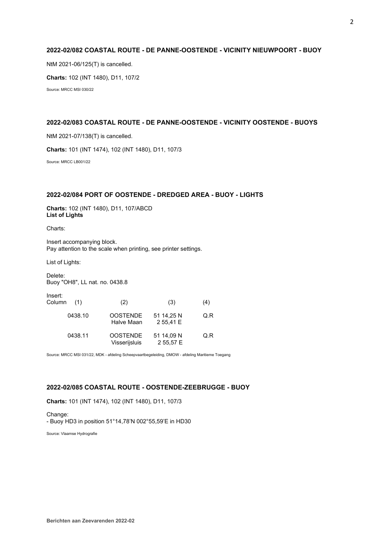# **2022-02/082 COASTAL ROUTE - DE PANNE-OOSTENDE - VICINITY NIEUWPOORT - BUOY**

NtM 2021-06/125(T) is cancelled.

**Charts:** 102 (INT 1480), D11, 107/2

Source: MRCC MSI 030/22

# **2022-02/083 COASTAL ROUTE - DE PANNE-OOSTENDE - VICINITY OOSTENDE - BUOYS**

NtM 2021-07/138(T) is cancelled.

**Charts:** 101 (INT 1474), 102 (INT 1480), D11, 107/3

Source: MRCC LB001/22

# **2022-02/084 PORT OF OOSTENDE - DREDGED AREA - BUOY - LIGHTS**

**Charts:** 102 (INT 1480), D11, 107/ABCD **List of Lights**

Charts:

Insert accompanying block. Pay attention to the scale when printing, see printer settings.

List of Lights:

Delete: Buoy "OH8", LL nat. no. 0438.8

| Insert:<br>Column | (1)     | (2)                              | (3)                     | (4) |
|-------------------|---------|----------------------------------|-------------------------|-----|
|                   | 0438.10 | <b>OOSTENDE</b><br>Halve Maan    | 51 14,25 N<br>2 55.41 E | Q.R |
|                   | 0438.11 | <b>OOSTENDE</b><br>Visserijsluis | 51 14,09 N<br>2 55,57 E | Q.R |

Source: MRCC MSI 031/22, MDK - afdeling Scheepvaartbegeleiding, DMOW - afdeling Maritieme Toegang

## **2022-02/085 COASTAL ROUTE - OOSTENDE-ZEEBRUGGE - BUOY**

**Charts:** 101 (INT 1474), 102 (INT 1480), D11, 107/3

Change: - Buoy HD3 in position 51°14,78'N 002°55,59'E in HD30

Source: Vlaamse Hydrografie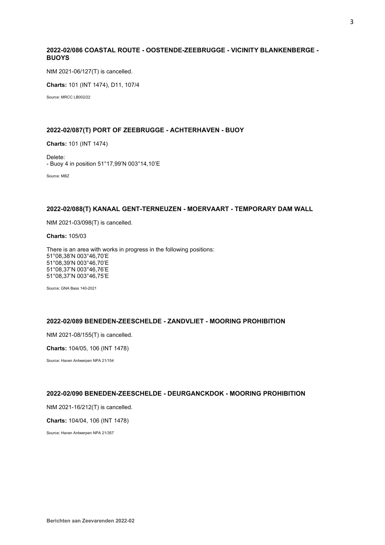# **2022-02/086 COASTAL ROUTE - OOSTENDE-ZEEBRUGGE - VICINITY BLANKENBERGE - BUOYS**

NtM 2021-06/127(T) is cancelled.

**Charts:** 101 (INT 1474), D11, 107/4

Source: MRCC LB002/22

## **2022-02/087(T) PORT OF ZEEBRUGGE - ACHTERHAVEN - BUOY**

**Charts:** 101 (INT 1474)

Delete: - Buoy 4 in position 51°17,99'N 003°14,10'E

Source: MBZ

## **2022-02/088(T) KANAAL GENT-TERNEUZEN - MOERVAART - TEMPORARY DAM WALL**

NtM 2021-03/098(T) is cancelled.

**Charts:** 105/03

There is an area with works in progress in the following positions: 51°08,38'N 003°46,70'E 51°08,39'N 003°46,70'E 51°08,37'N 003°46,76'E 51°08,37'N 003°46,75'E

Source: GNA Bass 140-2021

## **2022-02/089 BENEDEN-ZEESCHELDE - ZANDVLIET - MOORING PROHIBITION**

NtM 2021-08/155(T) is cancelled.

**Charts:** 104/05, 106 (INT 1478)

Source: Haven Antwerpen NPA 21/154

# **2022-02/090 BENEDEN-ZEESCHELDE - DEURGANCKDOK - MOORING PROHIBITION**

NtM 2021-16/212(T) is cancelled.

**Charts:** 104/04, 106 (INT 1478)

Source: Haven Antwerpen NPA 21/357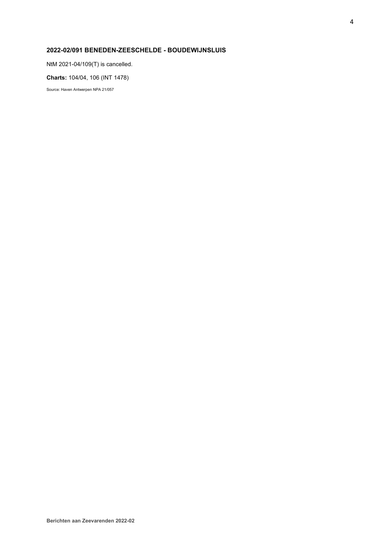# **2022-02/091 BENEDEN-ZEESCHELDE - BOUDEWIJNSLUIS**

NtM 2021-04/109(T) is cancelled.

**Charts:** 104/04, 106 (INT 1478)

Source: Haven Antwerpen NPA 21/057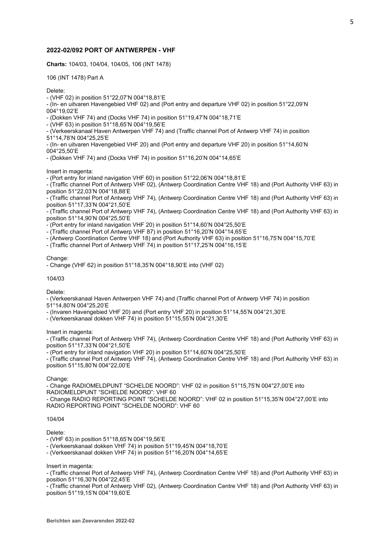## **2022-02/092 PORT OF ANTWERPEN - VHF**

**Charts:** 104/03, 104/04, 104/05, 106 (INT 1478)

106 (INT 1478) Part A

Delete:

- (VHF 02) in position 51°22,07'N 004°18,81'E

- (In- en uitvaren Havengebied VHF 02) and (Port entry and departure VHF 02) in position 51°22,09'N 004°19,02'E

- (Dokken VHF 74) and (Docks VHF 74) in position 51°19,47'N 004°18,71'E

- (VHF 63) in position 51°18,65'N 004°19,56'E

- (Verkeerskanaal Haven Antwerpen VHF 74) and (Traffic channel Port of Antwerp VHF 74) in position 51°14,78'N 004°25,25'E

- (In- en uitvaren Havengebied VHF 20) and (Port entry and departure VHF 20) in position 51°14,60'N 004°25,50'E

- (Dokken VHF 74) and (Docks VHF 74) in position 51°16,20'N 004°14,65'E

Insert in magenta:

- (Port entry for inland navigation VHF 60) in position 51°22,06'N 004°18,81'E

- (Traffic channel Port of Antwerp VHF 02), (Antwerp Coordination Centre VHF 18) and (Port Authority VHF 63) in position 51°22,03'N 004°18,88'E

- (Traffic channel Port of Antwerp VHF 74), (Antwerp Coordination Centre VHF 18) and (Port Authority VHF 63) in position 51°17,33'N 004°21,50'E

- (Traffic channel Port of Antwerp VHF 74), (Antwerp Coordination Centre VHF 18) and (Port Authority VHF 63) in position 51°14,90'N 004°25,50'E

- (Port entry for inland navigation VHF 20) in position 51°14,60'N 004°25,50'E

- (Traffic channel Port of Antwerp VHF 87) in position 51°16,20'N 004°14,65'E

- (Antwerp Coordination Centre VHF 18) and (Port Authority VHF 63) in position 51°16,75'N 004°15,70'E

- (Traffic channel Port of Antwerp VHF 74) in position 51°17,25'N 004°16,15'E

#### Change:

- Change (VHF 62) in position 51°18,35'N 004°18,90'E into (VHF 02)

#### 104/03

Delete:

- (Verkeerskanaal Haven Antwerpen VHF 74) and (Traffic channel Port of Antwerp VHF 74) in position 51°14,80'N 004°25,20'E

- (Invaren Havengebied VHF 20) and (Port entry VHF 20) in position 51°14,55'N 004°21,30'E

- (Verkeerskanaal dokken VHF 74) in position 51°15,55'N 004°21,30'E

Insert in magenta:

- (Traffic channel Port of Antwerp VHF 74), (Antwerp Coordination Centre VHF 18) and (Port Authority VHF 63) in position 51°17,33'N 004°21,50'E

- (Port entry for inland navigation VHF 20) in position 51°14,60'N 004°25,50'E

- (Traffic channel Port of Antwerp VHF 74), (Antwerp Coordination Centre VHF 18) and (Port Authority VHF 63) in position 51°15,80'N 004°22,00'E

#### Change:

- Change RADIOMELDPUNT "SCHELDE NOORD": VHF 02 in position 51°15,75'N 004°27,00'E into RADIOMELDPUNT "SCHELDE NOORD": VHF 60 - Change RADIO REPORTING POINT "SCHELDE NOORD": VHF 02 in position 51°15,35'N 004°27,00'E into RADIO REPORTING POINT "SCHELDE NOORD": VHF 60

#### 104/04

#### Delete:

- (VHF 63) in position 51°18,65'N 004°19,56'E

- (Verkeerskanaal dokken VHF 74) in position 51°19,45'N 004°18,70'E

- (Verkeerskanaal dokken VHF 74) in position 51°16,20'N 004°14,65'E

#### Insert in magenta:

- (Traffic channel Port of Antwerp VHF 74), (Antwerp Coordination Centre VHF 18) and (Port Authority VHF 63) in position 51°16,30'N 004°22,45'E

- (Traffic channel Port of Antwerp VHF 02), (Antwerp Coordination Centre VHF 18) and (Port Authority VHF 63) in position 51°19,15'N 004°19,60'E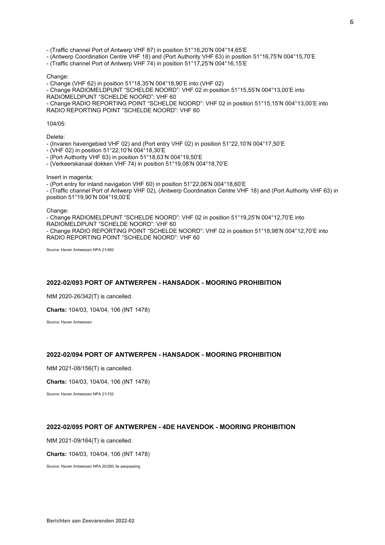- (Traffic channel Port of Antwerp VHF 87) in position 51°16,20'N 004°14,65'E

- (Antwerp Coordination Centre VHF 18) and (Port Authority VHF 63) in position 51°16,75'N 004°15,70'E

- (Traffic channel Port of Antwerp VHF 74) in position 51°17,25'N 004°16,15'E

#### Change:

- Change (VHF 62) in position 51°18,35'N 004°18,90'E into (VHF 02) - Change RADIOMELDPUNT "SCHELDE NOORD": VHF 02 in position 51°15,55'N 004°13,00'E into RADIOMELDPUNT "SCHELDE NOORD": VHF 60 - Change RADIO REPORTING POINT "SCHELDE NOORD": VHF 02 in position 51°15,15'N 004°13,00'E into RADIO REPORTING POINT "SCHELDE NOORD": VHF 60

104/05:

Delete:

- (Invaren havengebied VHF 02) and (Port entry VHF 02) in position 51°22,10'N 004°17,50'E
- (VHF 02) in position 51°22,10'N 004°18,30'E
- (Port Authority VHF 63) in position 51°18,63'N 004°19,50'E
- (Verkeerskanaal dokken VHF 74) in position 51°19,08'N 004°18,70'E

#### Insert in magenta:

- (Port entry for inland navigation VHF 60) in position 51°22,06'N 004°18,60'E

- (Traffic channel Port of Antwerp VHF 02), (Antwerp Coordination Centre VHF 18) and (Port Authority VHF 63) in position 51°19,90'N 004°19,00'E

#### Change:

- Change RADIOMELDPUNT "SCHELDE NOORD": VHF 02 in position 51°19,25'N 004°12,70'E into RADIOMELDPUNT "SCHELDE NOORD": VHF 60 - Change RADIO REPORTING POINT "SCHELDE NOORD": VHF 02 in position 51°18,98'N 004°12,70'E into RADIO REPORTING POINT "SCHELDE NOORD": VHF 60

Source: Haven Antwerpen NPA 21/482

## **2022-02/093 PORT OF ANTWERPEN - HANSADOK - MOORING PROHIBITION**

NtM 2020-26/342(T) is cancelled.

**Charts:** 104/03, 104/04, 106 (INT 1478)

Source: Haven Antwerpen

## **2022-02/094 PORT OF ANTWERPEN - HANSADOK - MOORING PROHIBITION**

NtM 2021-08/156(T) is cancelled.

**Charts:** 104/03, 104/04, 106 (INT 1478)

Source: Haven Antwerpen NPA 21/152

## **2022-02/095 PORT OF ANTWERPEN - 4DE HAVENDOK - MOORING PROHIBITION**

NtM 2021-09/164(T) is cancelled.

#### **Charts:** 104/03, 104/04, 106 (INT 1478)

Source: Haven Antwerpen NPA 20/260 3e aanpassing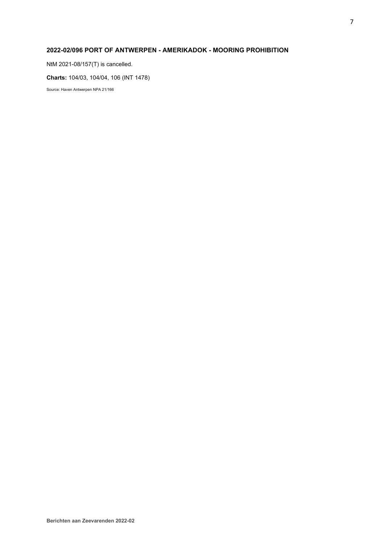# **2022-02/096 PORT OF ANTWERPEN - AMERIKADOK - MOORING PROHIBITION**

NtM 2021-08/157(T) is cancelled.

**Charts:** 104/03, 104/04, 106 (INT 1478)

Source: Haven Antwerpen NPA 21/166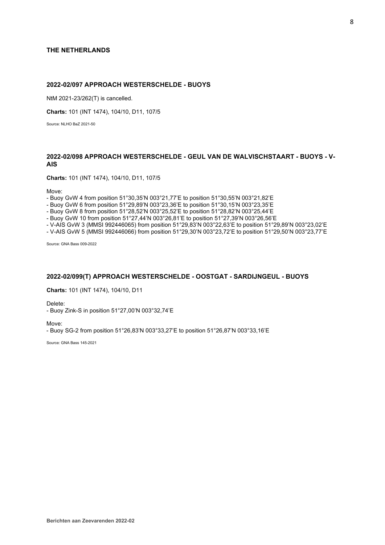# **THE NETHERLANDS**

# **2022-02/097 APPROACH WESTERSCHELDE - BUOYS**

NtM 2021-23/262(T) is cancelled.

**Charts:** 101 (INT 1474), 104/10, D11, 107/5

Source: NLHO BaZ 2021-50

# **2022-02/098 APPROACH WESTERSCHELDE - GEUL VAN DE WALVISCHSTAART - BUOYS - V-AIS**

**Charts:** 101 (INT 1474), 104/10, D11, 107/5

Move:

- Buoy GvW 4 from position 51°30,35'N 003°21,77'E to position 51°30,55'N 003°21,82'E

- Buoy GvW 6 from position 51°29,89'N 003°23,36'E to position 51°30,15'N 003°23,35'E

- Buoy GvW 8 from position 51°28,52'N 003°25,52'E to position 51°28,82'N 003°25,44'E

- Buoy GvW 10 from position 51°27,44'N 003°26,81'E to position 51°27,39'N 003°26,56'E

- V-AIS GvW 3 (MMSI 992446065) from position 51°29,83'N 003°22,63'E to position 51°29,89'N 003°23,02'E

- V-AIS GvW 5 (MMSI 992446066) from position 51°29,30'N 003°23,72'E to position 51°29,50'N 003°23,77'E

Source: GNA Bass 009-2022

## **2022-02/099(T) APPROACH WESTERSCHELDE - OOSTGAT - SARDIJNGEUL - BUOYS**

**Charts:** 101 (INT 1474), 104/10, D11

Delete:

- Buoy Zink-S in position 51°27,00'N 003°32,74'E

Move:

- Buoy SG-2 from position 51°26,83'N 003°33,27'E to position 51°26,87'N 003°33,16'E

Source: GNA Bass 145-2021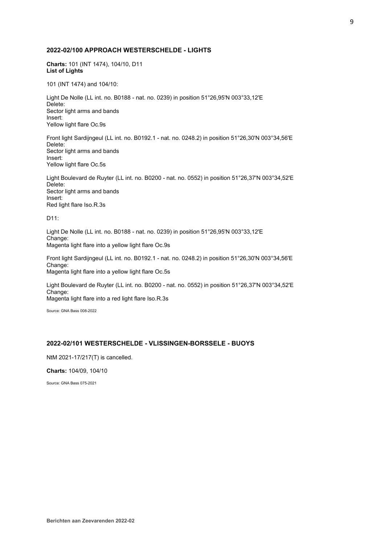# **2022-02/100 APPROACH WESTERSCHELDE - LIGHTS**

**Charts:** 101 (INT 1474), 104/10, D11 **List of Lights**

101 (INT 1474) and 104/10:

Light De Nolle (LL int. no. B0188 - nat. no. 0239) in position 51°26,95'N 003°33,12'E Delete: Sector light arms and bands Insert: Yellow light flare Oc.9s

Front light Sardijngeul (LL int. no. B0192.1 - nat. no. 0248.2) in position 51°26,30'N 003°34,56'E Delete: Sector light arms and bands Insert: Yellow light flare Oc.5s

Light Boulevard de Ruyter (LL int. no. B0200 - nat. no. 0552) in position 51°26,37'N 003°34,52'E Delete: Sector light arms and bands Insert: Red light flare Iso.R.3s

D11:

Light De Nolle (LL int. no. B0188 - nat. no. 0239) in position 51°26,95'N 003°33,12'E Change: Magenta light flare into a yellow light flare Oc.9s

Front light Sardijngeul (LL int. no. B0192.1 - nat. no. 0248.2) in position 51°26,30'N 003°34,56'E Change: Magenta light flare into a yellow light flare Oc.5s

Light Boulevard de Ruyter (LL int. no. B0200 - nat. no. 0552) in position 51°26,37'N 003°34,52'E Change: Magenta light flare into a red light flare Iso.R.3s

Source: GNA Bass 008-2022

# **2022-02/101 WESTERSCHELDE - VLISSINGEN-BORSSELE - BUOYS**

NtM 2021-17/217(T) is cancelled.

**Charts:** 104/09, 104/10

Source: GNA Bass 075-2021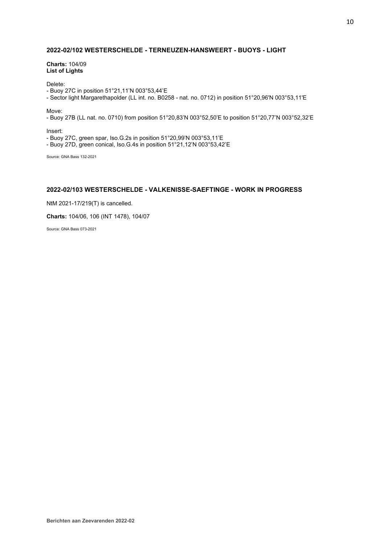# **2022-02/102 WESTERSCHELDE - TERNEUZEN-HANSWEERT - BUOYS - LIGHT**

# **Charts:** 104/09 **List of Lights**

Delete:

- Buoy 27C in position 51°21,11'N 003°53,44'E
- Sector light Margarethapolder (LL int. no. B0258 nat. no. 0712) in position 51°20,96'N 003°53,11'E

Move:

- Buoy 27B (LL nat. no. 0710) from position 51°20,83'N 003°52,50'E to position 51°20,77'N 003°52,32'E

Insert:

- Buoy 27C, green spar, Iso.G.2s in position 51°20,99'N 003°53,11'E

- Buoy 27D, green conical, Iso.G.4s in position 51°21,12'N 003°53,42'E

Source: GNA Bass 132-2021

# **2022-02/103 WESTERSCHELDE - VALKENISSE-SAEFTINGE - WORK IN PROGRESS**

NtM 2021-17/219(T) is cancelled.

**Charts:** 104/06, 106 (INT 1478), 104/07

Source: GNA Bass 073-2021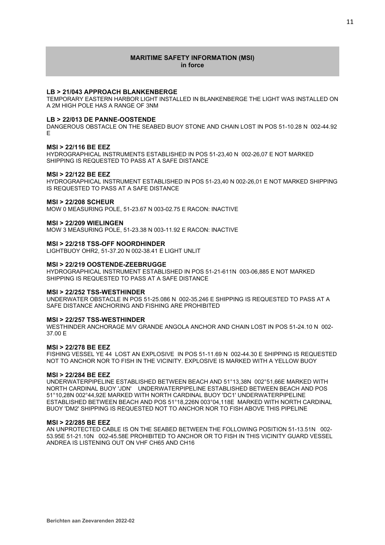## **MARITIME SAFETY INFORMATION (MSI) in force**

## **LB > 21/043 APPROACH BLANKENBERGE**

TEMPORARY EASTERN HARBOR LIGHT INSTALLED IN BLANKENBERGE THE LIGHT WAS INSTALLED ON A 2M HIGH POLE HAS A RANGE OF 3NM

### **LB > 22/013 DE PANNE-OOSTENDE**

DANGEROUS OBSTACLE ON THE SEABED BUOY STONE AND CHAIN LOST IN POS 51-10.28 N 002-44.92 E

## **MSI > 22/116 BE EEZ**

HYDROGRAPHICAL INSTRUMENTS ESTABLISHED IN POS 51-23,40 N 002-26,07 E NOT MARKED SHIPPING IS REQUESTED TO PASS AT A SAFE DISTANCE

## **MSI > 22/122 BE EEZ**

HYDROGRAPHICAL INSTRUMENT ESTABLISHED IN POS 51-23,40 N 002-26,01 E NOT MARKED SHIPPING IS REQUESTED TO PASS AT A SAFE DISTANCE

## **MSI > 22/208 SCHEUR**

MOW 0 MEASURING POLE, 51-23.67 N 003-02.75 E RACON: INACTIVE

### **MSI > 22/209 WIELINGEN**

MOW 3 MEASURING POLE, 51-23.38 N 003-11.92 E RACON: INACTIVE

## **MSI > 22/218 TSS-OFF NOORDHINDER**

LIGHTBUOY OHR2, 51-37.20 N 002-38.41 E LIGHT UNLIT

## **MSI > 22/219 OOSTENDE-ZEEBRUGGE**

HYDROGRAPHICAL INSTRUMENT ESTABLISHED IN POS 51-21-611N 003-06,885 E NOT MARKED SHIPPING IS REQUESTED TO PASS AT A SAFE DISTANCE

#### **MSI > 22/252 TSS-WESTHINDER**

UNDERWATER OBSTACLE IN POS 51-25.086 N 002-35.246 E SHIPPING IS REQUESTED TO PASS AT A SAFE DISTANCE ANCHORING AND FISHING ARE PROHIBITED

## **MSI > 22/257 TSS-WESTHINDER**

WESTHINDER ANCHORAGE M/V GRANDE ANGOLA ANCHOR AND CHAIN LOST IN POS 51-24.10 N 002- 37.00 E

#### **MSI > 22/278 BE EEZ**

FISHING VESSEL YE 44 LOST AN EXPLOSIVE IN POS 51-11.69 N 002-44.30 E SHIPPING IS REQUESTED NOT TO ANCHOR NOR TO FISH IN THE VICINITY. EXPLOSIVE IS MARKED WITH A YELLOW BUOY

#### **MSI > 22/284 BE EEZ**

UNDERWATERPIPELINE ESTABLISHED BETWEEN BEACH AND 51°13,38N 002°51,66E MARKED WITH NORTH CARDINAL BUOY 'JDN' UNDERWATERPIPELINE ESTABLISHED BETWEEN BEACH AND POS 51°10,28N 002°44,92E MARKED WITH NORTH CARDINAL BUOY 'DC1' UNDERWATERPIPELINE ESTABLISHED BETWEEN BEACH AND POS 51°18,226N 003°04,118E MARKED WITH NORTH CARDINAL BUOY 'DM2' SHIPPING IS REQUESTED NOT TO ANCHOR NOR TO FISH ABOVE THIS PIPELINE

## **MSI > 22/285 BE EEZ**

AN UNPROTECTED CABLE IS ON THE SEABED BETWEEN THE FOLLOWING POSITION 51-13.51N 002- 53.95E 51-21.10N 002-45.58E PROHIBITED TO ANCHOR OR TO FISH IN THIS VICINITY GUARD VESSEL ANDREA IS LISTENING OUT ON VHF CH65 AND CH16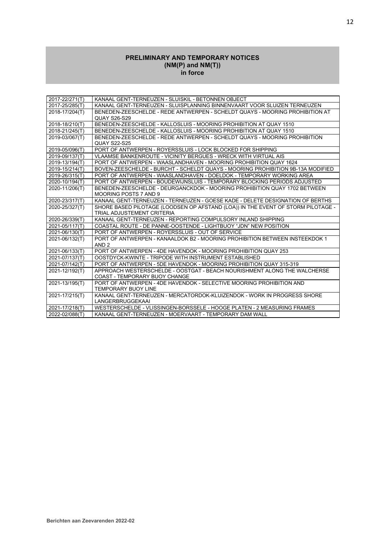# **PRELIMINARY AND TEMPORARY NOTICES (NM(P) and NM(T)) in force**

| 2017-22/271(T) | KANAAL GENT-TERNEUZEN - SLUISKIL - BETONNEN OBJECT                                                             |  |  |
|----------------|----------------------------------------------------------------------------------------------------------------|--|--|
| 2017-25/285(T) | KANAAL GENT-TERNEUZEN - SLUISPLANNING BINNENVAART VOOR SLUIZEN TERNEUZEN                                       |  |  |
| 2018-17/204(T) | BENEDEN-ZEESCHELDE - REDE ANTWERPEN - SCHELDT QUAYS - MOORING PROHIBITION AT                                   |  |  |
|                | <b>QUAY S26-S29</b>                                                                                            |  |  |
| 2018-18/210(T) | BENEDEN-ZEESCHELDE - KALLOSLUIS - MOORING PROHIBITION AT QUAY 1510                                             |  |  |
| 2018-21/245(T) | BENEDEN-ZEESCHELDE - KALLOSLUIS - MOORING PROHIBITION AT QUAY 1510                                             |  |  |
| 2019-03/067(T) | BENEDEN-ZEESCHELDE - REDE ANTWERPEN - SCHELDT QUAYS - MOORING PROHIBITION                                      |  |  |
|                | <b>QUAY S22-S25</b>                                                                                            |  |  |
| 2019-05/096(T) | PORT OF ANTWERPEN - ROYERSSLUIS - LOCK BLOCKED FOR SHIPPING                                                    |  |  |
| 2019-09/137(T) | VLAAMSE BANKENROUTE - VICINITY BERGUES - WRECK WITH VIRTUAL AIS                                                |  |  |
| 2019-13/194(T) | PORT OF ANTWERPEN - WAASLANDHAVEN - MOORING PROHIBITION QUAY 1624                                              |  |  |
| 2019-15/214(T) | BOVEN-ZEESCHELDE - BURCHT - SCHELDT QUAYS - MOORING PROHIBITION 9B-13A MODIFIED                                |  |  |
| 2019-26/315(T) | PORT OF ANTWERPEN - WAASLANDHAVEN - DOELDOK - TEMPORARY WORKING AREA                                           |  |  |
| 2020-10/194(T) | PORT OF ANTWERPEN - BOUDEWIJNSLUIS - TEMPORARY BLOCKING PERIODS ADJUSTED                                       |  |  |
| 2020-11/206(T) | BENEDEN-ZEESCHELDE - DEURGANCKDOK - MOORING PROHIBITION QUAY 1702 BETWEEN                                      |  |  |
|                | <b>MOORING POSTS 7 AND 9</b>                                                                                   |  |  |
| 2020-23/317(T) | KANAAL GENT-TERNEUZEN - TERNEUZEN - GOESE KADE - DELETE DESIGNATION OF BERTHS                                  |  |  |
| 2020-25/327(T) | SHORE BASED PILOTAGE (LOODSEN OP AFSTAND (LOA)) IN THE EVENT OF STORM PILOTAGE -<br>TRIAL ADJUSTEMENT CRITERIA |  |  |
| 2020-26/339(T) | KANAAL GENT-TERNEUZEN - REPORTING COMPULSORY INLAND SHIPPING                                                   |  |  |
| 2021-05/117(T) | COASTAL ROUTE - DE PANNE-OOSTENDE - LIGHTBUOY "JDN" NEW POSITION                                               |  |  |
| 2021-06/130(T) | PORT OF ANTWERPEN - ROYERSSLUIS - OUT OF SERVICE                                                               |  |  |
| 2021-06/132(T) | PORT OF ANTWERPEN - KANAALDOK B2 - MOORING PROHIBITION BETWEEN INSTEEKDOK 1                                    |  |  |
|                | AND <sub>2</sub>                                                                                               |  |  |
| 2021-06/133(T) | PORT OF ANTWERPEN - 4DE HAVENDOK - MOORING PROHIBITION QUAY 253                                                |  |  |
| 2021-07/137(T) | OOSTDYCK-KWINTE - TRIPODE WITH INSTRUMENT ESTABLISHED                                                          |  |  |
| 2021-07/142(T) | PORT OF ANTWERPEN - 5DE HAVENDOK - MOORING PROHIBITION QUAY 315-319                                            |  |  |
| 2021-12/192(T) | APPROACH WESTERSCHELDE - OOSTGAT - BEACH NOURISHMENT ALONG THE WALCHERSE                                       |  |  |
|                | <b>COAST - TEMPORARY BUOY CHANGE</b>                                                                           |  |  |
| 2021-13/195(T) | PORT OF ANTWERPEN - 4DE HAVENDOK - SELECTIVE MOORING PROHIBITION AND                                           |  |  |
|                | <b>TEMPORARY BUOY LINE</b>                                                                                     |  |  |
| 2021-17/215(T) | KANAAL GENT-TERNEUZEN - MERCATORDOK-KLUIZENDOK - WORK IN PROGRESS SHORE                                        |  |  |
|                | LANGERBRUGGEKAAI                                                                                               |  |  |
| 2021-17/218(T) | WESTERSCHELDE - VLISSINGEN-BORSSELE - HOOGE PLATEN - 2 MEASURING FRAMES                                        |  |  |
| 2022-02/088(T) | KANAAL GENT-TERNEUZEN - MOERVAART - TEMPORARY DAM WALL                                                         |  |  |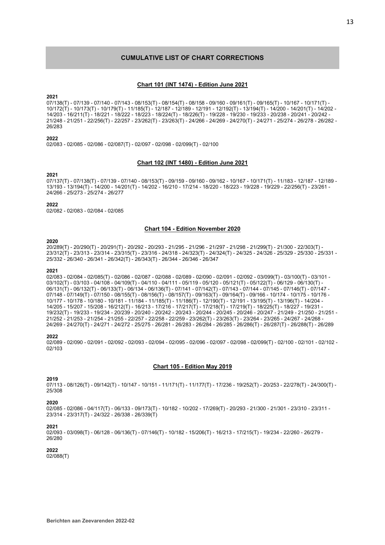# **CUMULATIVE LIST OF CHART CORRECTIONS**

## **Chart 101 (INT 1474) - Edition June 2021**

## **2021**

07/138(T) - 07/139 - 07/140 - 07/143 - 08/153(T) - 08/154(T) - 08/158 - 09/160 - 09/161(T) - 09/165(T) - 10/167 - 10/171(T) - 10/172(T) - 10/173(T) - 10/179(T) - 11/185(T) - 12/187 - 12/189 - 12/191 - 12/192(T) - 13/194(T) - 14/200 - 14/201(T) - 14/202 - 14/203 - 16/211(T) - 18/221 - 18/222 - 18/223 - 18/224(T) - 18/226(T) - 19/228 - 19/230 - 19/233 - 20/238 - 20/241 - 20/242 - 21/248 - 21/251 - 22/256(T) - 22/257 - 23/262(T) - 23/263(T) - 24/266 - 24/269 - 24/270(T) - 24/271 - 25/274 - 26/278 - 26/282 - 26/283

## **2022**

02/083 - 02/085 - 02/086 - 02/087(T) - 02/097 - 02/098 - 02/099(T) - 02/100

#### **Chart 102 (INT 1480) - Edition June 2021**

## **2021**

07/137(T) - 07/138(T) - 07/139 - 07/140 - 08/153(T) - 09/159 - 09/160 - 09/162 - 10/167 - 10/171(T) - 11/183 - 12/187 - 12/189 - 13/193 - 13/194(T) - 14/200 - 14/201(T) - 14/202 - 16/210 - 17/214 - 18/220 - 18/223 - 19/228 - 19/229 - 22/256(T) - 23/261 - 24/266 - 25/273 - 25/274 - 26/277

#### **2022**

02/082 - 02/083 - 02/084 - 02/085

#### **Chart 104 - Edition November 2020**

## **2020**

20/289(T) - 20/290(T) - 20/291(T) - 20/292 - 20/293 - 21/295 - 21/296 - 21/297 - 21/298 - 21/299(T) - 21/300 - 22/303(T) - 23/312(T) - 23/313 - 23/314 - 23/315(T) - 23/316 - 24/318 - 24/323(T) - 24/324(T) - 24/325 - 24/326 - 25/329 - 25/330 - 25/331 - 25/332 - 26/340 - 26/341 - 26/342(T) - 26/343(T) - 26/344 - 26/346 - 26/347

#### **2021**

02/083 - 02/084 - 02/085(T) - 02/086 - 02/087 - 02/088 - 02/089 - 02/090 - 02/091 - 02/092 - 03/099(T) - 03/100(T) - 03/101 - 03/102(T) - 03/103 - 04/108 - 04/109(T) - 04/110 - 04/111 - 05/119 - 05/120 - 05/121(T) - 05/122(T) - 06/129 - 06/130(T) - 06/131(T) - 06/132(T) - 06/133(T) - 06/134 - 06/136(T) - 07/141 - 07/142(T) - 07/143 - 07/144 - 07/145 - 07/146(T) - 07/147 - 07/148 - 07/149(T) - 07/150 - 08/155(T) - 08/156(T) - 08/157(T) - 09/163(T) - 09/164(T) - 09/166 - 10/174 - 10/175 - 10/176 - 10/177 - 10/178 - 10/180 - 10/181 - 11/184 - 11/185(T) - 11/186(T) - 12/190(T) - 12/191 - 13/195(T) - 13/196(T) - 14/204 - 14/205 - 15/207 - 15/208 - 16/212(T) - 16/213 - 17/216 - 17/217(T) - 17/218(T) - 17/219(T) - 18/225(T) - 18/227 - 19/231 - 19/232(T) - 19/233 - 19/234 - 20/239 - 20/240 - 20/242 - 20/243 - 20/244 - 20/245 - 20/246 - 20/247 - 21/249 - 21/250 - 21/251 - 21/252 - 21/253 - 21/254 - 21/255 - 22/257 - 22/258 - 22/259 - 23/262(T) - 23/263(T) - 23/264 - 23/265 - 24/267 - 24/268 - 24/269 - 24/270(T) - 24/271 - 24/272 - 25/275 - 26/281 - 26/283 - 26/284 - 26/285 - 26/286(T) - 26/287(T) - 26/288(T) - 26/289

### **2022**

02/089 - 02/090 - 02/091 - 02/092 - 02/093 - 02/094 - 02/095 - 02/096 - 02/097 - 02/098 - 02/099(T) - 02/100 - 02/101 - 02/102 - 02/103

### **Chart 105 - Edition May 2019**

#### **2019**

07/113 - 08/126(T) - 09/142(T) - 10/147 - 10/151 - 11/171(T) - 11/177(T) - 17/236 - 19/252(T) - 20/253 - 22/278(T) - 24/300(T) - 25/308

#### **2020**

02/085 - 02/086 - 04/117(T) - 06/133 - 09/173(T) - 10/182 - 10/202 - 17/269(T) - 20/293 - 21/300 - 21/301 - 23/310 - 23/311 - 23/314 - 23/317(T) - 24/322 - 26/338 - 26/339(T)

#### **2021**

02/093 - 03/098(T) - 06/128 - 06/136(T) - 07/146(T) - 10/182 - 15/206(T) - 16/213 - 17/215(T) - 19/234 - 22/260 - 26/279 - 26/280

# **2022**

02/088(T)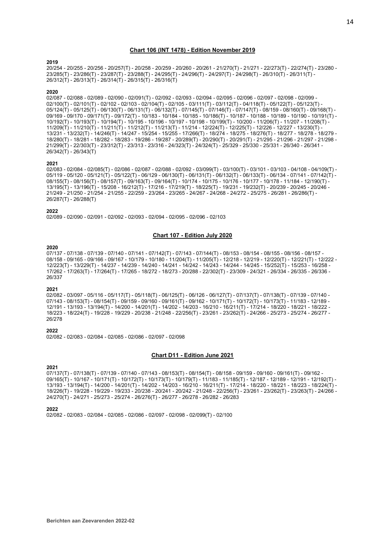#### **Chart 106 (INT 1478) - Edition November 2019**

#### **2019**

20/254 - 20/255 - 20/256 - 20/257(T) - 20/258 - 20/259 - 20/260 - 20/261 - 21/270(T) - 21/271 - 22/273(T) - 22/274(T) - 23/280 - 23/285(T) - 23/286(T) - 23/287(T) - 23/288(T) - 24/295(T) - 24/296(T) - 24/297(T) - 24/298(T) - 26/310(T) - 26/311(T) - 26/312(T) - 26/313(T) - 26/314(T) - 26/315(T) - 26/316(T)

#### **2020**

02/087 - 02/088 - 02/089 - 02/090 - 02/091(T) - 02/092 - 02/093 - 02/094 - 02/095 - 02/096 - 02/097 - 02/098 - 02/099 - 02/100(T) - 02/101(T) - 02/102 - 02/103 - 02/104(T) - 02/105 - 03/111(T) - 03/112(T) - 04/118(T) - 05/122(T) - 05/123(T) - 05/124(T) - 05/125(T) - 06/130(T) - 06/131(T) - 06/132(T) - 07/145(T) - 07/146(T) - 07/147(T) - 08/159 - 08/160(T) - 09/168(T) - 09/169 - 09/170 - 09/171(T) - 09/172(T) - 10/183 - 10/184 - 10/185 - 10/186(T) - 10/187 - 10/188 - 10/189 - 10/190 - 10/191(T) - 10/192(T) - 10/193(T) - 10/194(T) - 10/195 - 10/196 - 10/197 - 10/198 - 10/199(T) - 10/200 - 11/206(T) - 11/207 - 11/208(T) - 11/209(T) - 11/210(T) - 11/211(T) - 11/212(T) - 11/213(T) - 11/214 - 12/224(T) - 12/225(T) - 12/226 - 12/227 - 13/230(T) - 13/231 - 13/232(T) - 14/246(T) - 14/247 - 15/254 - 15/255 - 17/266(T) - 18/274 - 18/275 - 18/276(T) - 18/277 - 18/278 - 18/279 - 18/280(T) - 18/281 - 18/282 - 18/283 - 19/286 - 19/287 - 20/289(T) - 20/290(T) - 20/291(T) - 21/295 - 21/296 - 21/297 - 21/298 - 21/299(T) - 22/303(T) - 23/312(T) - 23/313 - 23/316 - 24/323(T) - 24/324(T) - 25/329 - 25/330 - 25/331 - 26/340 - 26/341 - 26/342(T) - 26/343(T)

#### **2021**

02/083 - 02/084 - 02/085(T) - 02/086 - 02/087 - 02/088 - 02/092 - 03/099(T) - 03/100(T) - 03/101 - 03/103 - 04/108 - 04/109(T) - 05/119 - 05/120 - 05/121(T) - 05/122(T) - 06/129 - 06/130(T) - 06/131(T) - 06/132(T) - 06/133(T) - 06/134 - 07/141 - 07/142(T) - 08/155(T) - 08/156(T) - 08/157(T) - 09/163(T) - 09/164(T) - 10/174 - 10/175 - 10/176 - 10/177 - 10/178 - 11/184 - 12/190(T) - 13/195(T) - 13/196(T) - 15/208 - 16/212(T) - 17/216 - 17/219(T) - 18/225(T) - 19/231 - 19/232(T) - 20/239 - 20/245 - 20/246 - 21/249 - 21/250 - 21/254 - 21/255 - 22/259 - 23/264 - 23/265 - 24/267 - 24/268 - 24/272 - 25/275 - 26/281 - 26/286(T) - 26/287(T) - 26/288(T)

#### **2022**

02/089 - 02/090 - 02/091 - 02/092 - 02/093 - 02/094 - 02/095 - 02/096 - 02/103

#### **Chart 107 - Edition July 2020**

#### **2020**

07/137 - 07/138 - 07/139 - 07/140 - 07/141 - 07/142(T) - 07/143 - 07/144(T) - 08/153 - 08/154 - 08/155 - 08/156 - 08/157 - 08/158 - 09/165 - 09/166 - 09/167 - 10/179 - 10/180 - 11/204(T) - 11/205(T) - 12/218 - 12/219 - 12/220(T) - 12/221(T) - 12/222 - 12/223(T) - 13/229(T) - 14/237 - 14/239 - 14/240 - 14/241 - 14/242 - 14/243 - 14/244 - 14/245 - 15/252(T) - 15/253 - 16/258 - 17/262 - 17/263(T) - 17/264(T) - 17/265 - 18/272 - 18/273 - 20/288 - 22/302(T) - 23/309 - 24/321 - 26/334 - 26/335 - 26/336 - 26/337

#### **2021**

02/082 - 03/097 - 05/116 - 05/117(T) - 05/118(T) - 06/125(T) - 06/126 - 06/127(T) - 07/137(T) - 07/138(T) - 07/139 - 07/140 - 07/143 - 08/153(T) - 08/154(T) - 09/159 - 09/160 - 09/161(T) - 09/162 - 10/171(T) - 10/172(T) - 10/173(T) - 11/183 - 12/189 - 12/191 - 13/193 - 13/194(T) - 14/200 - 14/201(T) - 14/202 - 14/203 - 16/210 - 16/211(T) - 17/214 - 18/220 - 18/221 - 18/222 - 18/223 - 18/224(T) - 19/228 - 19/229 - 20/238 - 21/248 - 22/256(T) - 23/261 - 23/262(T) - 24/266 - 25/273 - 25/274 - 26/277 - 26/278

#### **2022**

02/082 - 02/083 - 02/084 - 02/085 - 02/086 - 02/097 - 02/098

#### **Chart D11 - Edition June 2021**

## **2021**

07/137(T) - 07/138(T) - 07/139 - 07/140 - 07/143 - 08/153(T) - 08/154(T) - 08/158 - 09/159 - 09/160 - 09/161(T) - 09/162 - 09/165(T) - 10/167 - 10/171(T) - 10/172(T) - 10/173(T) - 10/179(T) - 11/183 - 11/185(T) - 12/187 - 12/189 - 12/191 - 12/192(T) - 13/193 - 13/194(T) - 14/200 - 14/201(T) - 14/202 - 14/203 - 16/210 - 16/211(T) - 17/214 - 18/220 - 18/221 - 18/223 - 18/224(T) - 18/226(T) - 19/228 - 19/229 - 19/233 - 20/238 - 20/241 - 20/242 - 21/248 - 22/256(T) - 23/261 - 23/262(T) - 23/263(T) - 24/266 - 24/270(T) - 24/271 - 25/273 - 25/274 - 26/276(T) - 26/277 - 26/278 - 26/282 - 26/283

#### **2022**

02/082 - 02/083 - 02/084 - 02/085 - 02/086 - 02/097 - 02/098 - 02/099(T) - 02/100